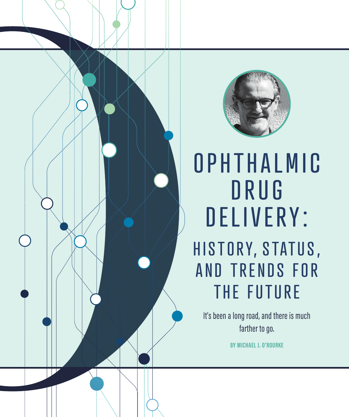



**O PHTHALMIC** D R U G DELIVERY: HISTORY, STATUS, AND TRENDS FOR THE FUTURE

It's been a long road, and there is much farther to go.

**BY MICHAEL J. O'ROURKE**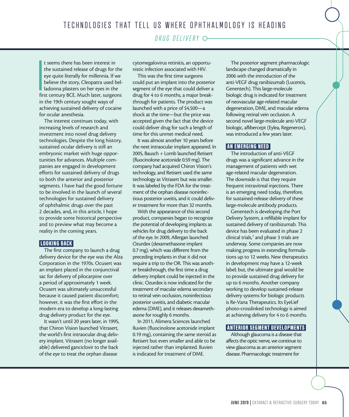*DRUG DELIVERY*

**I**<br>Ifir t seems there has been interest in the sustained release of drugs for the eye quite literally for millennia. If we believe the story, Cleopatra used belladonna plasters on her eyes in the first century BCE. Much later, surgeons in the 19th century sought ways of achieving sustained delivery of cocaine for ocular anesthesia.

The interest continues today, with increasing levels of research and investment into novel drug delivery technologies. Despite the long history, sustained ocular delivery is still an embryonic market with huge opportunities for advances. Multiple companies are engaged in development efforts for sustained delivery of drugs to both the anterior and posterior segments. I have had the good fortune to be involved in the launch of several technologies for sustained delivery of ophthalmic drugs over the past 2 decades, and, in this article, I hope to provide some historical perspective and to preview what may become a reality in the coming years.

#### LOOKING BACK

The first company to launch a drug delivery device for the eye was the Alza Corporation in the 1970s. Ocusert was an implant placed in the conjunctival sac for delivery of pilocarpine over a period of approximately 1 week. Ocusert was ultimately unsuccessful because it caused patient discomfort; however, it was the first effort in the modern era to develop a long-lasting drug delivery product for the eye.

It wasn't until 20 years later, in 1995, that Chiron Vision launched Vitrasert, the world's first intraocular drug delivery implant. Vitrasert (no longer available) delivered ganciclovir to the back of the eye to treat the orphan disease

cytomegalovirus retinitis, an opportunistic infection associated with HIV.

This was the first time surgeons could put an implant into the posterior segment of the eye that could deliver a drug for 4 to 6 months, a major breakthrough for patients. The product was launched with a price of \$4,500—a shock at the time—but the price was accepted given the fact that the device could deliver drug for such a length of time for this unmet medical need.

It was almost another 10 years before the next intraocular implant appeared. In 2005, Bausch + Lomb launched Retisert (fluocinolone acetonide 0.59 mg). The company had acquired Chiron Vision's technology, and Retisert used the same technology as Vitrasert but was smaller. It was labeled by the FDA for the treatment of the orphan disease noninfectious posterior uveitis, and it could deliver treatment for more than 32 months.

With the appearance of this second product, companies began to recognize the potential of developing implants as vehicles for drug delivery to the back of the eye. In 2009, Allergan launched Ozurdex (dexamethasone implant 0.7 mg), which was different from the preceding implants in that it did not require a trip to the OR. This was another breakthrough, the first time a drug delivery implant could be injected in the clinic. Ozurdex is now indicated for the treatment of macular edema secondary to retinal vein occlusion, noninfectious posterior uveitis, and diabetic macular edema (DME), and it releases dexamethasone for roughly 6 months.

In 2011, Alimera Sciences launched Iluvien (fluocinolone acetonide implant 0.19 mg), containing the same steroid as Retisert but even smaller and able to be injected rather than implanted. Iluvien is indicated for treatment of DME.

The posterior segment pharmacologic landscape changed dramatically in 2006 with the introduction of the anti-VEGF drug ranibizumab (Lucentis, Genentech). This large-molecule biologic drug is indicated for treatment of neovascular age-related macular degeneration, DME, and macular edema following retinal vein occlusion. A second novel large-molecule anti-VEGF biologic, aflibercept (Eylea, Regeneron), was introduced a few years later.

## AN EMERGING NEED

The introduction of anti-VEGF drugs was a significant advance in the management of patients with wet age-related macular degeneration. The downside is that they require frequent intravitreal injections. There is an emerging need today, therefore, for sustained-release delivery of these large-molecule antibody products.

Genentech is developing the Port Delivery System, a refillable implant for sustained delivery of ranibizumab. This device has been evaluated in phase 2 clinical trials,<sup>1</sup> and phase 3 trials are underway. Some companies are now making progress in extending formulations up to 12 weeks. New therapeutics in development may have a 12-week label; but, the ultimate goal would be to provide sustained drug delivery for up to 6 months. Another company working to develop sustained-release delivery systems for biologic products is Re-Vana Therapeutics. Its EyeLief photo-crosslinked technology is aimed at achieving delivery for 4 to 6 months.

# ANTERIOR SEGMENT DEVELOPMENTS

Although glaucoma is a disease that affects the optic nerve, we continue to view glaucoma as an anterior segment disease. Pharmacologic treatment for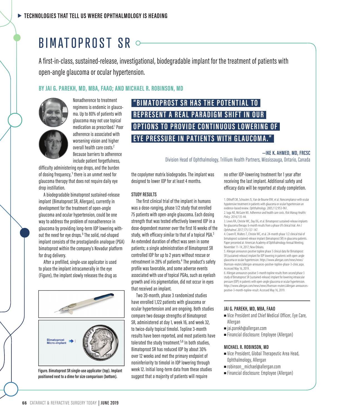# BIMATOPROST SR

A first-in-class, sustained-release, investigational, biodegradable implant for the treatment of patients with open-angle glaucoma or ocular hypertension.

# **BY JAI G. PAREKH, MD, MBA, FAAO; AND MICHAEL R. ROBINSON, MD**



Nonadherence to treatment regimens is endemic in glaucoma. Up to 80% of patients with glaucoma may not use topical medication as prescribed.<sup>1</sup> Poor adherence is associated with worsening vision and higher overall health care costs.<sup>2</sup> Because barriers to adherence include patient forgetfulness,

difficulty administering eye drops, and the burden of dosing frequency,<sup>1</sup> there is an unmet need for glaucoma therapy that does not require daily eye drop instillation.

A biodegradable bimatoprost sustained-release implant (Bimatoprost SR, Allergan), currently in development for the treatment of open-angle glaucoma and ocular hypertension, could be one way to address the problem of nonadherence in glaucoma by providing long-term IOP lowering without the need for eye drops.<sup>3</sup> The solid, rod-shaped implant consists of the prostaglandin analogue (PGA) bimatoprost within the company's Novadur platform for drug delivery.

After a prefilled, single-use applicator is used to place the implant intracamerally in the eye (Figure), the implant slowly releases the drug as



**positioned next to a dime for size comparison (bottom).**

# **"BIMATOPROST SR HAS THE POTENTIAL TO REPRESENT A REAL PARADIGM SHIFT IN OUR OPTIONS TO PROVIDE CONTINUOUS LOWERING OF EYE PRESSURE IN PATIENTS WITH GLAUCOMA."**

**—IKE K. AHMED, MD, FRCSC** Division Head of Ophthalmology, Trillium Health Partners, Mississauga, Ontario, Canada

the copolymer matrix biodegrades. The implant was designed to lower IOP for at least 4 months.

#### **STUDY RESULTS**

The first clinical trial of the implant in humans was a dose-ranging, phase 1/2 study that enrolled 75 patients with open-angle glaucoma. Each dosing strength that was tested effectively lowered IOP in a dose-dependent manner over the first 16 weeks of the study, with efficacy similar to that of a topical PGA.<sup>3</sup> An extended duration of effect was seen in some patients; a single administration of Bimatoprost SR controlled IOP for up to 2 years without rescue or retreatment in 28% of patients.<sup>4</sup> The product's safety profile was favorable, and some adverse events associated with use of topical PGAs, such as eyelash growth and iris pigmentation, did not occur in eyes that received an implant.

Two 20-month, phase 3 randomized studies have enrolled 1,122 patients with glaucoma or ocular hypertension and are ongoing. Both studies compare two dosage strengths of Bimatoprost SR, administered at day 1, week 16, and week 32, to twice-daily topical timolol. Topline 3-month results have been reported, and most patients have tolerated the study treatment.<sup>5,6</sup> In both studies, Bimatoprost SR has reduced IOP by about 30% over 12 weeks and met the primary endpoint of noninferiority to timolol in IOP lowering through week 12. Initial long-term data from these studies suggest that a majority of patients will require <sup>n</sup> Financial disclosure: Employee (Allergan) **Figure. Bimatoprost SR single-use applicator (top). Implant** 

no other IOP-lowering treatment for 1 year after receiving the last implant. Additional safety and efficacy data will be reported at study completion.

1. Olthoff CM, Schouten JS, Van de Bourne BW, et al. Noncompliance with ocular hypotensive treatment in patients with glaucoma or ocular hypertension an evidence-based review. *Ophthalmology*. 2005;112:953-961.

- 2. Iuga AO, McGuire MJ. Adherence and health care costs. *Risk Manag Healthc Policy*. 2014;7:35-44.
- 3. Lewis RA, Christie WC, Day DG, et al. Bimatoprost sustained-release implants for glaucoma therapy: 6-month results from a phase I/II clinical trial. *Am J Ophthalmol*. 2017;175:137-147.

4. Craven R, Walters T, Christie WC, et al. 24-month phase 1/2 clinical trial of bimatoprost sustained-release implant (bimatoprost SR) in glaucoma patients. Paper presented at: American Academy of Ophthalmology Annual Meeting; November 11-14, 2017; New Orleans.

5. Allergan announces positive topline phase 3 clinical data for Bimatoprost SR (sustained-release) implant for IOP lowering in patients with open-angle glaucoma or ocular hypertension. https://www.allergan.com/news/news/ thomson-reuters/allergan-announces-positive-topline-phase-3-clinic.aspx. Accessed May 16, 2019.

6. Allergan announces positive 3-month topline results from second phase 3 study of Bimatoprost SR (sustained-release) implant for lowering intraocular pressure (IOP) in patients with open-angle glaucoma or ocular hypertension. https://www.allergan.com/news/news/thomson-reuters/allergan-announcespositive-3-month-topline-result. Accessed May 16, 2019.

#### **JAI G. PAREKH, MD, MBA, FAAO**

- $\blacksquare$  Vice President and Chief Medical Officer, Eye Care, Allergan
- <sup>n</sup> jai.parekh@allergan.com
- <sup>n</sup> Financial disclosure: Employee (Allergan)

#### **MICHAEL R. ROBINSON, MD**

- <sup>n</sup> Vice President, Global Therapeutic Area Head, Ophthalmology, Allergan
- n robinson michael@allergan.com
-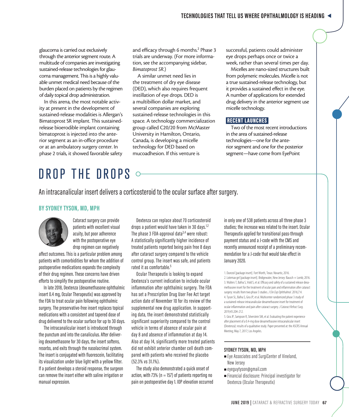glaucoma is carried out exclusively through the anterior segment route. A multitude of companies are investigating sustained-release technologies for glaucoma management. This is a highly valuable unmet medical need because of the burden placed on patients by the regimen of daily topical drop administration.

In this arena, the most notable activity at present in the development of sustained-release modalities is Allergan's Bimatoprost SR implant. This sustainedrelease bioerodible implant containing bimatoprost is injected into the anterior segment as an in-office procedure or at an ambulatory surgery center. In phase 2 trials, it showed favorable safety

and efficacy through 6 months.<sup>2</sup> Phase 3 trials are underway. (For more information, see the accompanying sidebar, *Bimatoprost SR*.)

A similar unmet need lies in the treatment of dry eye disease (DED), which also requires frequent instillation of eye drops. DED is a multibillion dollar market, and several companies are exploring sustained-release technologies in this space. A technology commercialization group called C20/20 from McMaster University in Hamilton, Ontario, Canada, is developing a micelle technology for DED based on mucoadhesion. If this venture is

successful, patients could administer eye drops perhaps once or twice a week, rather than several times per day.

Micelles are nano-sized structures built from polymeric molecules. Micelle is not a true sustained-release technology, but it provides a sustained effect in the eye. A number of applications for extended drug delivery in the anterior segment use micelle technology.

### **RECENT LAUNCHES**

Two of the most recent introductions in the area of sustained-release technologies—one for the anterior segment and one for the posterior segment—have come from EyePoint

# DROP THE DROPS

An intracanalicular insert delivers a corticosteroid to the ocular surface after surgery.

### **BY SYDNEY TYSON, MD, MPH**



Cataract surgery can provide patients with excellent visual acuity, but poor adherence with the postoperative eye drop regimen can negatively

affect outcomes. This is a particular problem among patients with comorbidities for whom the addition of postoperative medications expands the complexity of their drug regimen. These concerns have driven efforts to simplify the postoperative routine.

In late 2018, Dextenza (dexamethasone ophthalmic insert 0.4 mg, Ocular Therapeutix) was approved by the FDA to treat ocular pain following ophthalmic surgery. The preservative-free insert replaces topical medications with a consistent and tapered dose of drug delivered to the ocular surface for up to 30 days.

The intracanalicular insert is introduced through the punctum and into the canaliculus. After delivering dexamethasone for 30 days, the insert softens, resorbs, and exits through the nasolacrimal system. The insert is conjugated with fluorescein, facilitating its visualization under blue light with a yellow filter. If a patient develops a steroid response, the surgeon can remove the insert either with saline irrigation or manual expression.

Dextenza can replace about 70 corticosteroid drops a patient would have taken in 30 days.<sup>1,2</sup> The phase 3 FDA-approval data<sup>3,4</sup> were robust: A statistically significantly higher incidence of treated patients reported being pain free 8 days after cataract surgery compared to the vehicle control group. The insert was safe, and patients rated it as comfortable.<sup>5</sup>

Ocular Therapeutix is looking to expand Dextenza's current indication to include ocular inflammation after ophthalmic surgery. The FDA has set a Prescription Drug User Fee Act target action date of November 10 for its review of the supplemental new drug application. In supporting data, the insert demonstrated statistically significant superiority compared to the control vehicle in terms of absence of ocular pain at day 8 and absence of inflammation at day 14. Also at day 14, significantly more treated patients did not exhibit anterior chamber cell death compared with patients who received the placebo (52.3% vs 31.1%).

The study also demonstrated a quick onset of action, with 73% ( $n = 157$ ) of patients reporting no pain on postoperative day 1. IOP elevation occurred in only one of 538 patients across all three phase 3 studies; the increase was related to the insert. Ocular Therapeutix applied for transitional pass-through payment status and a J-code with the CMS and recently announced receipt of a preliminary recommendation for a J-code that would take effect in January 2020.

1. Durezol [package insert]. Fort Worth, Texas: Novartis; 2016. 2. Lotemax gel [package insert]. Bridgewater, New Jersey: Bausch + Lomb; 2016. 3. Walters T, Bafna S, Vold S, et al. Efficacy and safety of a sustained release dexamethasone insert for the treatment of ocular pain and inflammation after cataract surgery: results from two phase 3 studies. *J Clin Exp Ophthalmol*. 2016;7:4. 4. Tyson SL, Bafna S, Gira JP, et al. Multicenter randomized phase 3 study of a sustained-release intracanalicular dexamethasone insert for treatment of ocular inflammation and pain after cataract surgery. *J Cataract Refract Surg*. 2019;45:204-212.

5. Gira JP, Sampson R, Silverstein SM, et al. Evaluating the patient experience after placement of a 0.4-mg dose dexamethasone intracanalicular insert (Dextenza): results of a qualitative study. Paper presented at: the ASCRS Annual Meeting; May 7, 2017; Los Angeles.

#### **SYDNEY TYSON, MD, MPH**

- <sup>n</sup> Eye Associates and SurgiCenter of Vineland, New Jersey
- <sup>n</sup> eyeguytyson@gmail.com
- $\blacksquare$  Financial disclosure: Principal investigator for Dextenza (Ocular Therapeutix)